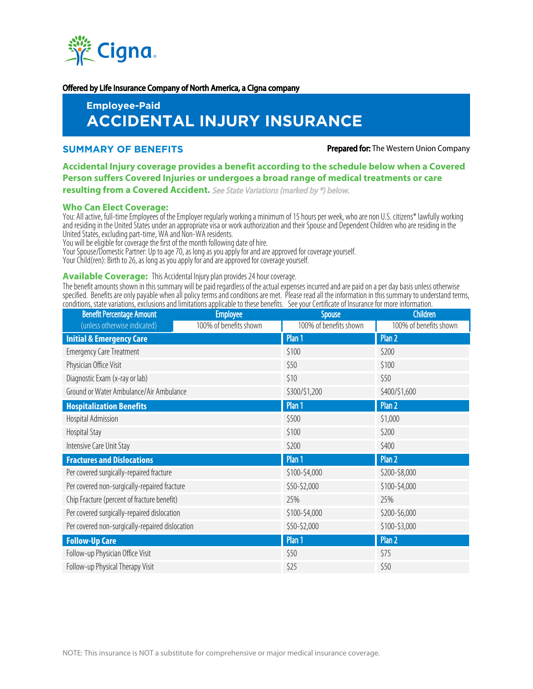

#### Offered by Life Insurance Company of North America, a Cigna company

# **Employee-Paid ACCIDENTAL INJURY INSURANCE**

#### **SUMMARY OF BENEFITS Prepared for:** The Western Union Company

# **Accidental Injury coverage provides a benefit according to the schedule below when a Covered Person suffers Covered Injuries or undergoes a broad range of medical treatments or care resulting from a Covered Accident.** See State Variations (marked by \*) below.

## **Who Can Elect Coverage:**

You: All active, full-time Employees of the Employer regularly working a minimum of 15 hours per week, who are non U.S. citizens\* lawfully working and residing in the United States under an appropriate visa or work authorization and their Spouse and Dependent Children who are residing in the United States, excluding part-time, WA and Non-WA residents.

You will be eligible for coverage the first of the month following date of hire.

Your Spouse/Domestic Partner: Up to age 70, as long as you apply for and are approved for coverage yourself.

Your Child(ren): Birth to 26, as long as you apply for and are approved for coverage yourself.

#### **Available Coverage:** This Accidental Injury plan provides 24 hour coverage.

The benefit amounts shown in this summary will be paid regardless of the actual expenses incurred and are paid on a per day basis unless otherwise specified. Benefits are only payable when all policy terms and conditions are met. Please read all the information in this summary to understand terms, conditions, state variations, exclusions and limitations applicable to these benefits. See your Certificate of Insurance for more information.

| <b>Benefit Percentage Amount</b>                | <b>Employee</b>        | <b>Spouse</b>          | <b>Children</b>        |
|-------------------------------------------------|------------------------|------------------------|------------------------|
| (unless otherwise indicated)                    | 100% of benefits shown | 100% of benefits shown | 100% of benefits shown |
| <b>Initial &amp; Emergency Care</b>             |                        | Plan 1                 | Plan 2                 |
| <b>Emergency Care Treatment</b>                 |                        | \$100                  | \$200                  |
| Physician Office Visit                          |                        | \$50                   | \$100                  |
| Diagnostic Exam (x-ray or lab)                  |                        | \$10                   | \$50                   |
| Ground or Water Ambulance/Air Ambulance         |                        | \$300/\$1,200          | \$400/\$1,600          |
| <b>Hospitalization Benefits</b>                 |                        | Plan 1                 | Plan 2                 |
| Hospital Admission                              |                        | \$500                  | \$1,000                |
| Hospital Stay                                   |                        | \$100                  | \$200                  |
| Intensive Care Unit Stay                        |                        | \$200                  | \$400                  |
| <b>Fractures and Dislocations</b>               |                        | Plan 1                 | Plan 2                 |
| Per covered surgically-repaired fracture        |                        | \$100-\$4,000          | \$200-\$8,000          |
| Per covered non-surgically-repaired fracture    |                        | \$50-\$2,000           | \$100-\$4,000          |
| Chip Fracture (percent of fracture benefit)     |                        | 25%                    | 25%                    |
| Per covered surgically-repaired dislocation     |                        | \$100-\$4,000          | \$200-\$6,000          |
| Per covered non-surgically-repaired dislocation |                        | \$50-\$2,000           | \$100-\$3,000          |
| <b>Follow-Up Care</b>                           |                        | Plan 1                 | Plan 2                 |
| Follow-up Physician Office Visit                |                        | \$50                   | \$75                   |
| Follow-up Physical Therapy Visit                |                        | \$25                   | \$50                   |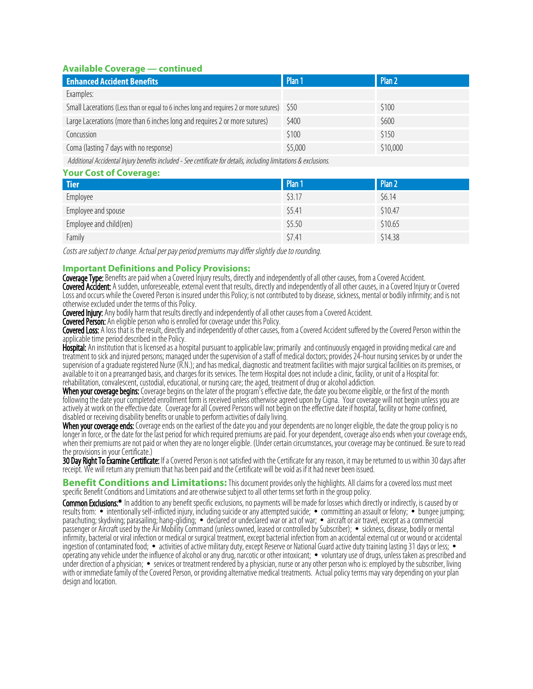# **Available Coverage — continued**

| <b>Enhanced Accident Benefits</b>                                                      | Plan 1  | Plan 2   |
|----------------------------------------------------------------------------------------|---------|----------|
| Examples:                                                                              |         |          |
| Small Lacerations (Less than or equal to 6 inches long and requires 2 or more sutures) | - S50   | \$100    |
| Large Lacerations (more than 6 inches long and requires 2 or more sutures)             | \$400   | \$600    |
| Concussion                                                                             | \$100   | \$150    |
| Coma (lasting 7 days with no response)                                                 | \$5,000 | \$10,000 |
|                                                                                        |         |          |

Additional Accidental Injury benefits included - See certificate for details, including limitations & exclusions. **Your Cost of Coverage:**

| Your Cost of Coverage:  |        |         |  |  |
|-------------------------|--------|---------|--|--|
| <b>Tier</b>             | Plan 1 | Plan 2  |  |  |
| Employee                | \$3.17 | \$6.14  |  |  |
| Employee and spouse     | \$5.41 | \$10.47 |  |  |
| Employee and child(ren) | \$5.50 | \$10.65 |  |  |
| Family                  | \$7.41 | \$14.38 |  |  |

Costs are subject to change. Actual per pay period premiums may differ slightly due to rounding.

# **Important Definitions and Policy Provisions:**

Coverage Type: Benefits are paid when a Covered Injury results, directly and independently of all other causes, from a Covered Accident. Covered Accident: A sudden, unforeseeable, external event that results, directly and independently of all other causes, in a Covered Injury or Covered Loss and occurs while the Covered Person is insured under this Policy; is not contributed to by disease, sickness, mental or bodily infirmity; and is not otherwise excluded under the terms of this Policy.

Covered Injury: Any bodily harm that results directly and independently of all other causes from a Covered Accident.

**Covered Person:** An eligible person who is enrolled for coverage under this Policy.

Covered Loss: A loss that is the result, directly and independently of other causes, from a Covered Accident suffered by the Covered Person within the applicable time period described in the Policy.

Hospital: An institution that is licensed as a hospital pursuant to applicable law; primarily and continuously engaged in providing medical care and treatment to sick and injured persons; managed under the supervision of a staff of medical doctors; provides 24-hour nursing services by or under the supervision of a graduate registered Nurse (R.N.); and has medical, diagnostic and treatment facilities with major surgical facilities on its premises, or available to it on a prearranged basis, and charges for its services. The term Hospital does not include a clinic, facility, or unit of a Hospital for: rehabilitation, convalescent, custodial, educational, or nursing care; the aged, treatment of drug or alcohol addiction.

**When your coverage begins:** Coverage begins on the later of the program<sup>7</sup>s effective date, the date you become eligible, or the first of the month following the date your completed enrollment form is received unless otherwise agreed upon by Cigna. Your coverage will not begin unless you are actively at work on the effective date. Coverage for all Covered Persons will not begin on the effective date if hospital, facility or home confined, disabled or receiving disability benefits or unable to perform activities of daily living.

When your coverage ends: Coverage ends on the earliest of the date you and your dependents are no longer eligible, the date the group policy is no longer in force, or the date for the last period for which required premiums are paid. For your dependent, coverage also ends when your coverage ends, when their premiums are not paid or when they are no longer eligible. (Under certain circumstances, your coverage may be continued. Be sure to read the provisions in your Certificate.)

**30 Day Right To Examine Certificate:** If a Covered Person is not satisfied with the Certificate for any reason, it may be returned to us within 30 days after receipt. We will return any premium that has been paid and the Certificate will be void as if it had never been issued.

**Benefit Conditions and Limitations:** This document provides only the highlights. All claims for a covered loss must meet specific Benefit Conditions and Limitations and are otherwise subject to all other terms set forth in the group policy.

Common Exclusions:\* In addition to any benefit specific exclusions, no payments will be made for losses which directly or indirectly, is caused by or results from: • intentionally self-inflicted injury, including suicide or any attempted suicide; • committing an assault or felony; • bungee jumping; parachuting; skydiving; parasailing; hang-gliding; • declared or undeclared war or act of war; • aircraft or air travel, except as a commercial passenger or Aircraft used by the Air Mobility Command (unless owned, leased or controlled by Subscriber); • sickness, disease, bodily or mental infirmity, bacterial or viral infection or medical or surgical treatment, except bacterial infection from an accidental external cut or wound or accidental ingestion of contaminated food; • activities of active military duty, except Reserve or National Guard active duty training lasting 31 days or less; • operating any vehicle under the influence of alcohol or any drug, narcotic or other intoxicant; • voluntary use of drugs, unless taken as prescribed and under direction of a physician; • services or treatment rendered by a physician, nurse or any other person who is: employed by the subscriber, living with or immediate family of the Covered Person, or providing alternative medical treatments. Actual policy terms may vary depending on your plan design and location.